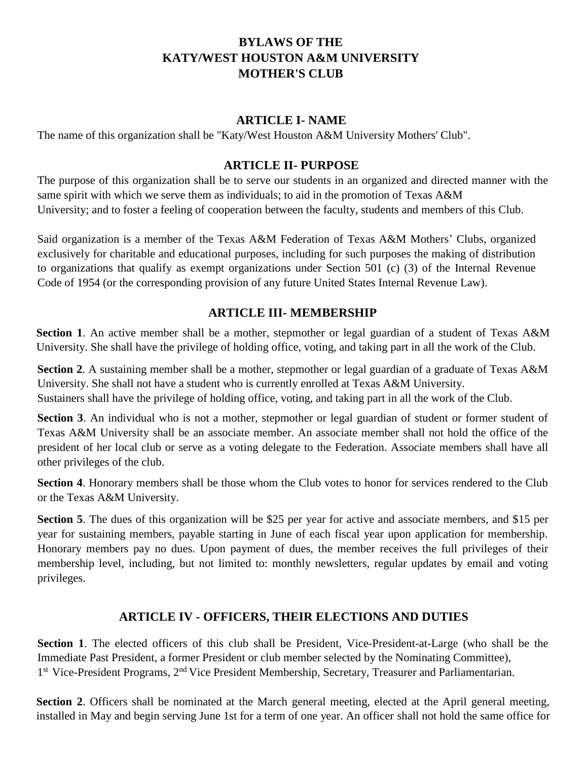# **BYLAWS OF THE KATY/WEST HOUSTON A&M UNIVERSITY MOTHER'S CLUB**

### **ARTICLE I- NAME**

The name of this organization shall be "Katy/West Houston A&M University Mothers' Club".

### **ARTICLE II- PURPOSE**

The purpose of this organization shall be to serve our students in an organized and directed manner with the same spirit with which we serve them as individuals; to aid in the promotion of Texas A&M University; and to foster a feeling of cooperation between the faculty, students and members of this Club.

Said organization is a member of the Texas A&M Federation of Texas A&M Mothers' Clubs, organized exclusively for charitable and educational purposes, including for such purposes the making of distribution to organizations that qualify as exempt organizations under Section 501 (c) (3) of the Internal Revenue Code of 1954 (or the corresponding provision of any future United States Internal Revenue Law).

## **ARTICLE III- MEMBERSHIP**

**Section 1**. An active member shall be a mother, stepmother or legal guardian of a student of Texas A&M University. She shall have the privilege of holding office, voting, and taking part in all the work of the Club.

**Section 2**. A sustaining member shall be a mother, stepmother or legal guardian of a graduate of Texas A&M University. She shall not have a student who is currently enrolled at Texas A&M University. Sustainers shall have the privilege of holding office, voting, and taking part in all the work of the Club.

**Section 3.** An individual who is not a mother, stepmother or legal guardian of student or former student of Texas A&M University shall be an associate member. An associate member shall not hold the office of the president of her local club or serve as a voting delegate to the Federation. Associate members shall have all other privileges of the club.

**Section 4.** Honorary members shall be those whom the Club votes to honor for services rendered to the Club or the Texas A&M University.

**Section 5**. The dues of this organization will be \$25 per year for active and associate members, and \$15 per year for sustaining members, payable starting in June of each fiscal year upon application for membership. Honorary members pay no dues. Upon payment of dues, the member receives the full privileges of their membership level, including, but not limited to: monthly newsletters, regular updates by email and voting privileges.

## **ARTICLE IV - OFFICERS, THEIR ELECTIONS AND DUTIES**

**Section 1**. The elected officers of this club shall be President, Vice-President-at-Large (who shall be the Immediate Past President, a former President or club member selected by the Nominating Committee), 1<sup>st</sup> Vice-President Programs, 2<sup>nd</sup> Vice President Membership, Secretary, Treasurer and Parliamentarian.

Section 2. Officers shall be nominated at the March general meeting, elected at the April general meeting, installed in May and begin serving June 1st for a term of one year. An officer shall not hold the same office for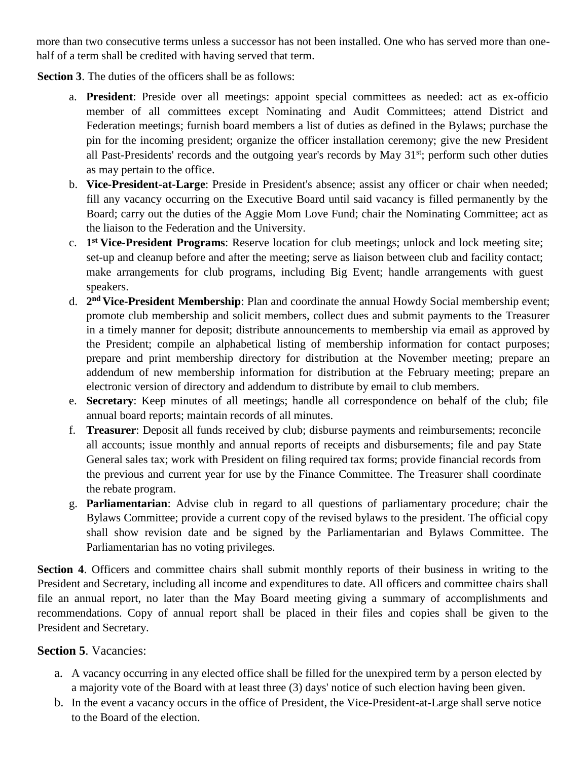more than two consecutive terms unless a successor has not been installed. One who has served more than onehalf of a term shall be credited with having served that term.

**Section 3.** The duties of the officers shall be as follows:

- a. **President**: Preside over all meetings: appoint special committees as needed: act as ex-officio member of all committees except Nominating and Audit Committees; attend District and Federation meetings; furnish board members a list of duties as defined in the Bylaws; purchase the pin for the incoming president; organize the officer installation ceremony; give the new President all Past-Presidents' records and the outgoing year's records by May  $31<sup>st</sup>$ ; perform such other duties as may pertain to the office.
- b. **Vice-President-at-Large**: Preside in President's absence; assist any officer or chair when needed; fill any vacancy occurring on the Executive Board until said vacancy is filled permanently by the Board; carry out the duties of the Aggie Mom Love Fund; chair the Nominating Committee; act as the liaison to the Federation and the University.
- c. **1 st Vice-President Programs**: Reserve location for club meetings; unlock and lock meeting site; set-up and cleanup before and after the meeting; serve as liaison between club and facility contact; make arrangements for club programs, including Big Event; handle arrangements with guest speakers.
- d. **2 nd Vice-President Membership**: Plan and coordinate the annual Howdy Social membership event; promote club membership and solicit members, collect dues and submit payments to the Treasurer in a timely manner for deposit; distribute announcements to membership via email as approved by the President; compile an alphabetical listing of membership information for contact purposes; prepare and print membership directory for distribution at the November meeting; prepare an addendum of new membership information for distribution at the February meeting; prepare an electronic version of directory and addendum to distribute by email to club members.
- e. **Secretary**: Keep minutes of all meetings; handle all correspondence on behalf of the club; file annual board reports; maintain records of all minutes.
- f. **Treasurer**: Deposit all funds received by club; disburse payments and reimbursements; reconcile all accounts; issue monthly and annual reports of receipts and disbursements; file and pay State General sales tax; work with President on filing required tax forms; provide financial records from the previous and current year for use by the Finance Committee. The Treasurer shall coordinate the rebate program.
- g. **Parliamentarian**: Advise club in regard to all questions of parliamentary procedure; chair the Bylaws Committee; provide a current copy of the revised bylaws to the president. The official copy shall show revision date and be signed by the Parliamentarian and Bylaws Committee. The Parliamentarian has no voting privileges.

Section 4. Officers and committee chairs shall submit monthly reports of their business in writing to the President and Secretary, including all income and expenditures to date. All officers and committee chairs shall file an annual report, no later than the May Board meeting giving a summary of accomplishments and recommendations. Copy of annual report shall be placed in their files and copies shall be given to the President and Secretary.

## **Section 5**. Vacancies:

- a. A vacancy occurring in any elected office shall be filled for the unexpired term by a person elected by a majority vote of the Board with at least three (3) days' notice of such election having been given.
- b. In the event a vacancy occurs in the office of President, the Vice-President-at-Large shall serve notice to the Board of the election.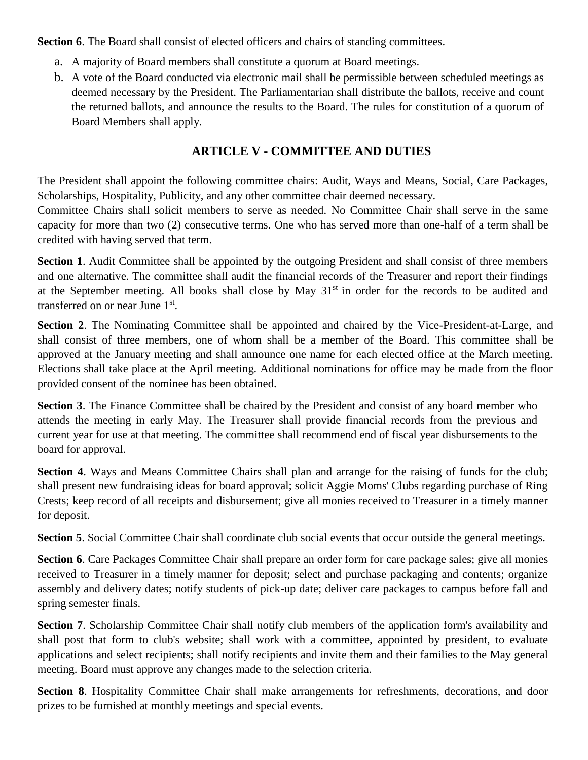**Section 6**. The Board shall consist of elected officers and chairs of standing committees.

- a. A majority of Board members shall constitute a quorum at Board meetings.
- b. A vote of the Board conducted via electronic mail shall be permissible between scheduled meetings as deemed necessary by the President. The Parliamentarian shall distribute the ballots, receive and count the returned ballots, and announce the results to the Board. The rules for constitution of a quorum of Board Members shall apply.

# **ARTICLE V - COMMITTEE AND DUTIES**

The President shall appoint the following committee chairs: Audit, Ways and Means, Social, Care Packages, Scholarships, Hospitality, Publicity, and any other committee chair deemed necessary.

Committee Chairs shall solicit members to serve as needed. No Committee Chair shall serve in the same capacity for more than two (2) consecutive terms. One who has served more than one-half of a term shall be credited with having served that term.

**Section 1.** Audit Committee shall be appointed by the outgoing President and shall consist of three members and one alternative. The committee shall audit the financial records of the Treasurer and report their findings at the September meeting. All books shall close by May 31<sup>st</sup> in order for the records to be audited and transferred on or near June 1st.

**Section 2**. The Nominating Committee shall be appointed and chaired by the Vice-President-at-Large, and shall consist of three members, one of whom shall be a member of the Board. This committee shall be approved at the January meeting and shall announce one name for each elected office at the March meeting. Elections shall take place at the April meeting. Additional nominations for office may be made from the floor provided consent of the nominee has been obtained.

Section 3. The Finance Committee shall be chaired by the President and consist of any board member who attends the meeting in early May. The Treasurer shall provide financial records from the previous and current year for use at that meeting. The committee shall recommend end of fiscal year disbursements to the board for approval.

Section 4. Ways and Means Committee Chairs shall plan and arrange for the raising of funds for the club; shall present new fundraising ideas for board approval; solicit Aggie Moms' Clubs regarding purchase of Ring Crests; keep record of all receipts and disbursement; give all monies received to Treasurer in a timely manner for deposit.

**Section 5**. Social Committee Chair shall coordinate club social events that occur outside the general meetings.

**Section 6**. Care Packages Committee Chair shall prepare an order form for care package sales; give all monies received to Treasurer in a timely manner for deposit; select and purchase packaging and contents; organize assembly and delivery dates; notify students of pick-up date; deliver care packages to campus before fall and spring semester finals.

**Section 7.** Scholarship Committee Chair shall notify club members of the application form's availability and shall post that form to club's website; shall work with a committee, appointed by president, to evaluate applications and select recipients; shall notify recipients and invite them and their families to the May general meeting. Board must approve any changes made to the selection criteria.

**Section 8**. Hospitality Committee Chair shall make arrangements for refreshments, decorations, and door prizes to be furnished at monthly meetings and special events.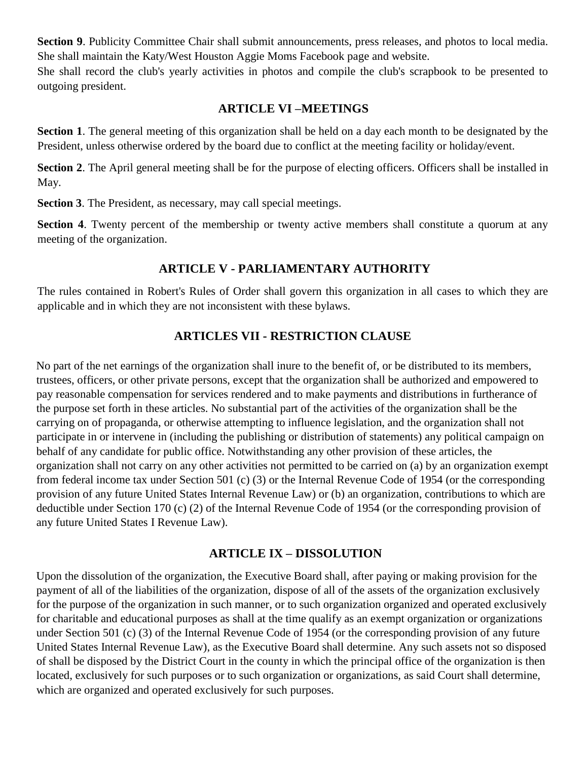**Section 9**. Publicity Committee Chair shall submit announcements, press releases, and photos to local media. She shall maintain the Katy/West Houston Aggie Moms Facebook page and website.

She shall record the club's yearly activities in photos and compile the club's scrapbook to be presented to outgoing president.

### **ARTICLE VI –MEETINGS**

**Section 1**. The general meeting of this organization shall be held on a day each month to be designated by the President, unless otherwise ordered by the board due to conflict at the meeting facility or holiday/event.

**Section 2.** The April general meeting shall be for the purpose of electing officers. Officers shall be installed in May.

**Section 3**. The President, as necessary, may call special meetings.

**Section 4.** Twenty percent of the membership or twenty active members shall constitute a quorum at any meeting of the organization.

## **ARTICLE V - PARLIAMENTARY AUTHORITY**

The rules contained in Robert's Rules of Order shall govern this organization in all cases to which they are applicable and in which they are not inconsistent with these bylaws.

## **ARTICLES VII - RESTRICTION CLAUSE**

No part of the net earnings of the organization shall inure to the benefit of, or be distributed to its members, trustees, officers, or other private persons, except that the organization shall be authorized and empowered to pay reasonable compensation for services rendered and to make payments and distributions in furtherance of the purpose set forth in these articles. No substantial part of the activities of the organization shall be the carrying on of propaganda, or otherwise attempting to influence legislation, and the organization shall not participate in or intervene in (including the publishing or distribution of statements) any political campaign on behalf of any candidate for public office. Notwithstanding any other provision of these articles, the organization shall not carry on any other activities not permitted to be carried on (a) by an organization exempt from federal income tax under Section 501 (c) (3) or the Internal Revenue Code of 1954 (or the corresponding provision of any future United States Internal Revenue Law) or (b) an organization, contributions to which are deductible under Section 170 (c) (2) of the Internal Revenue Code of 1954 (or the corresponding provision of any future United States I Revenue Law).

## **ARTICLE IX – DISSOLUTION**

Upon the dissolution of the organization, the Executive Board shall, after paying or making provision for the payment of all of the liabilities of the organization, dispose of all of the assets of the organization exclusively for the purpose of the organization in such manner, or to such organization organized and operated exclusively for charitable and educational purposes as shall at the time qualify as an exempt organization or organizations under Section 501 (c) (3) of the Internal Revenue Code of 1954 (or the corresponding provision of any future United States Internal Revenue Law), as the Executive Board shall determine. Any such assets not so disposed of shall be disposed by the District Court in the county in which the principal office of the organization is then located, exclusively for such purposes or to such organization or organizations, as said Court shall determine, which are organized and operated exclusively for such purposes.